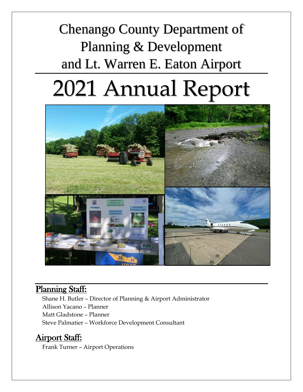# Chenango County Department of Planning & Development and Lt. Warren E. Eaton Airport

# 2021 Annual Report



### Planning Staff:

Shane H. Butler – Director of Planning & Airport Administrator Allison Yacano – Planner Matt Gladstone – Planner Steve Palmatier – Workforce Development Consultant

### Airport Staff:

Frank Turner – Airport Operations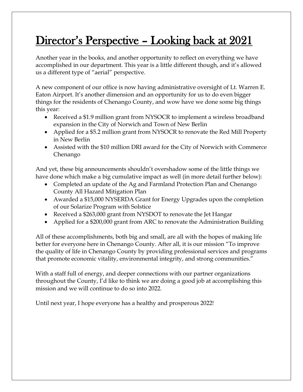# Director's Perspective – Looking back at 2021

Another year in the books, and another opportunity to reflect on everything we have accomplished in our department. This year is a little different though, and it's allowed us a different type of "aerial" perspective.

A new component of our office is now having administrative oversight of Lt. Warren E. Eaton Airport. It's another dimension and an opportunity for us to do even bigger things for the residents of Chenango County, and wow have we done some big things this year:

- Received a \$1.9 million grant from NYSOCR to implement a wireless broadband expansion in the City of Norwich and Town of New Berlin
- Applied for a \$5.2 million grant from NYSOCR to renovate the Red Mill Property in New Berlin
- Assisted with the \$10 million DRI award for the City of Norwich with Commerce Chenango

And yet, these big announcements shouldn't overshadow some of the little things we have done which make a big cumulative impact as well (in more detail further below):

- Completed an update of the Ag and Farmland Protection Plan and Chenango County All Hazard Mitigation Plan
- Awarded a \$15,000 NYSERDA Grant for Energy Upgrades upon the completion of our Solarize Program with Solstice
- Received a \$263,000 grant from NYSDOT to renovate the Jet Hangar
- Applied for a \$200,000 grant from ARC to renovate the Administration Building

All of these accomplishments, both big and small, are all with the hopes of making life better for everyone here in Chenango County. After all, it is our mission "To improve the quality of life in Chenango County by providing professional services and programs that promote economic vitality, environmental integrity, and strong communities."

With a staff full of energy, and deeper connections with our partner organizations throughout the County, I'd like to think we are doing a good job at accomplishing this mission and we will continue to do so into 2022.

Until next year, I hope everyone has a healthy and prosperous 2022!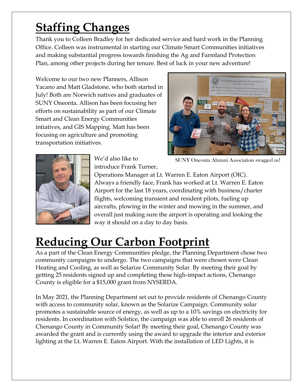# **Staffing Changes**

Thank you to Colleen Bradley for her dedicated service and hard work in the Planning Office. Colleen was instrumental in starting our Climate Smart Communities initiatives and making substantial progress towards finishing the Ag and Farmland Protection Plan, among other projects during her tenure. Best of luck in your new adventure!

Welcome to our two new Planners, Allison Yacano and Matt Gladstone, who both started in July! Both are Norwich natives and graduates of SUNY Oneonta. Allison has been focusing her efforts on sustainability as part of our Climate Smart and Clean Energy Communities intiatives, and GIS Mapping. Matt has been focusing on agriculture and promoting transportation initiatives.







We'd also like to introduce Frank Turner,

Operations Manager at Lt. Warren E. Eaton Airport (OIC). Always a friendly face, Frank has worked at Lt. Warren E. Eaton Airport for the last 18 years, coordinating with business/charter flights, welcoming transient and resident pilots, fueling up aircrafts, plowing in the winter and mowing in the summer, and overall just making sure the airport is operating and looking the way it should on a day to day basis.

# **Reducing Our Carbon Footprint**

As a part of the Clean Energy Communities pledge, the Planning Department chose two community campaigns to undergo. The two campaigns that were chosen were Clean Heating and Cooling, as well as Solarize Community Solar. By meeting their goal by getting 25 residents signed up and completing these high-impact actions, Chenango County is eligible for a \$15,000 grant from NYSERDA.

In May 2021, the Planning Department set out to provide residents of Chenango County with access to community solar, known as the Solarize Campaign. Community solar promotes a sustainable source of energy, as well as up to a 10% savings on electricity for residents. In coordination with Solstice, the campaign was able to enroll 26 residents of Chenango County in Community Solar! By meeting their goal, Chenango County was awarded the grant and is currently using the award to upgrade the interior and exterior lighting at the Lt. Warren E. Eaton Airport. With the installation of LED Lights, it is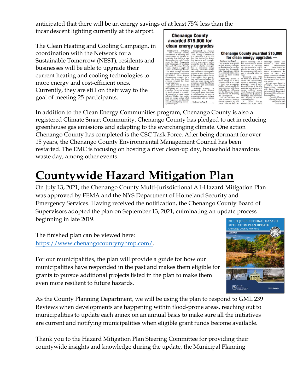anticipated that there will be an energy savings of at least 75% less than the incandescent lighting currently at the airport.

The Clean Heating and Cooling Campaign, in coordination with the Network for a Sustainable Tomorrow (NEST), residents and businesses will be able to upgrade their current heating and cooling technologies to more energy and cost-efficient ones. Currently, they are still on their way to the goal of meeting 25 participants.

| <b>Chenango County</b><br>awarded \$15,000 for<br>clean energy upgrades                                                                                                                                                                                                                                                                                                                                                                                                                                                                                                                                                                                                                                                                                                                                                                                                                                                                                                                                                                                                                                                                                                                                                                                                                                                                                                                                                                                                                                                                        |                                                                                                                                                                                                                                                                                                                                                                                                                                                                                                                                            |                                                                                                                                                                                                                                                                                                                                                                                                                                                                                                                                                                                                                          |                                                                                                                                                                                                                                                                                                                                                                                                                                                                                                    |
|------------------------------------------------------------------------------------------------------------------------------------------------------------------------------------------------------------------------------------------------------------------------------------------------------------------------------------------------------------------------------------------------------------------------------------------------------------------------------------------------------------------------------------------------------------------------------------------------------------------------------------------------------------------------------------------------------------------------------------------------------------------------------------------------------------------------------------------------------------------------------------------------------------------------------------------------------------------------------------------------------------------------------------------------------------------------------------------------------------------------------------------------------------------------------------------------------------------------------------------------------------------------------------------------------------------------------------------------------------------------------------------------------------------------------------------------------------------------------------------------------------------------------------------------|--------------------------------------------------------------------------------------------------------------------------------------------------------------------------------------------------------------------------------------------------------------------------------------------------------------------------------------------------------------------------------------------------------------------------------------------------------------------------------------------------------------------------------------------|--------------------------------------------------------------------------------------------------------------------------------------------------------------------------------------------------------------------------------------------------------------------------------------------------------------------------------------------------------------------------------------------------------------------------------------------------------------------------------------------------------------------------------------------------------------------------------------------------------------------------|----------------------------------------------------------------------------------------------------------------------------------------------------------------------------------------------------------------------------------------------------------------------------------------------------------------------------------------------------------------------------------------------------------------------------------------------------------------------------------------------------|
| <b>CHENANGO</b><br><b>COUNTY</b><br>Announced in January<br>- The Chenango County<br>2021, the second phase of the<br>Department of Planning and<br>Clean Energy Communities<br>Development is pleased to<br>(CEC) initiative is a \$17 mil-<br>announce that they have met<br>lion CEC Leadership Round<br>the 25-subscriber goal of enroll-<br>that supports and recogniz-<br>ment for their Community<br>es local government leaders<br>Solar Campaign. By reaching<br>across the state by providing<br>this goal, Chenango County<br>grants to eligible municipal-<br>became eligible to apply for<br>ities to implement energy<br>Action Grants through the New<br>efficiency, renewable energy,<br>and sustainable development<br>York State Energy Research<br>projects in their communities.<br>and Development Authority's<br>(NYSERDA) Clean Energy<br>Achievements by Clean Energy<br>Communities help support<br>Communities program. As a<br>New York's nation-leading cli-<br>result, the County has been<br>awarded \$15,000 for clean<br>mate and clean energy goals,<br>as outlined under the Climate<br>energy upgrades.<br>Leadership and Community<br>The grant will be used to<br>upgrade the interior and exte-<br>Protection Act.<br>rior lighting to LED's at the<br>Chenango<br>County, in<br>Chenango County Lt. Warren<br>partnership with Solstice<br>E. Eaton Airport in Norwich.<br>Community Solar, have been<br>By upgrading to more energy<br>in collaboration to increase<br>efficient lighting, they antic- | <b>Continued from Page 1</b><br>to facilitate solar panels<br>on their homes or business-<br>es. Residents who enrolled<br>through the Community<br>Solar Campaign are eligible<br>to an estimated 10 percent<br>savings on their monthly<br>electric bill.<br>"Spreading access to<br>clean energy is a natu-<br>ral extension of our work<br>to keep our community<br>healthy and sustainable for<br>vears to come," said Shane<br>Butler, Director of Planning<br>for the Chenango County<br>Department of Planning<br>and Development. | <b>Chenango County awarded \$15,000</b><br>for clean energy upgrades -<br>vear of electricity. This is<br>the environmental impact<br>equivalent of avoiding<br>407,855 pounds of carbon<br>dioxide per year, or reduc-<br>ing passenger vehicle mile-<br>age by 464,484 miles per<br>year.<br>President and CEO<br>of NYSERDA Doreen M.<br>Harris said, "By expanding<br>access to community solar.<br>Chenango County is mak-<br>ing a difference in the fight<br>against climate change and<br>saving residents' money<br>while doing so. We applaud<br>the county for its efforts in<br>ensuring a healthier future, | Chenango<br>County also<br>New York<br>became<br>$\mathbf{a}$<br>State<br>Department<br>$\sim$ f<br>Environmental<br>Climate<br>Conservation<br>Community<br>Smart<br>$\ln$<br>of<br>March<br>2021. The<br>pledge stresses an effort to<br>decrease energy usage and<br>shift to cleaner and renew-<br>able energy.<br>To learn more about the<br>NYSERDA Clean Energy<br>Communities<br>program.<br>visit https://www.nyser-<br>da.nv.gov/All-Programs/<br>Programs/Clean-Energy-<br>Communities. |
| access to solar energy to those<br>communities who are unable<br>ipate an energy savings of at<br>least 75 percent less than the<br>incandescent lighting current-<br><b>Continued on Page 2</b><br>ly at the airport.                                                                                                                                                                                                                                                                                                                                                                                                                                                                                                                                                                                                                                                                                                                                                                                                                                                                                                                                                                                                                                                                                                                                                                                                                                                                                                                         | The 26 residents who<br>have enrolled in Chenango<br>County represent an esti-<br>mated 260,701 kwh per                                                                                                                                                                                                                                                                                                                                                                                                                                    | and helping us achieve<br>New York's goals."<br>Clean<br>A<br>Energy<br>Community since 2018,                                                                                                                                                                                                                                                                                                                                                                                                                                                                                                                            | -from the Chenango<br>County Department<br>of Planning and<br>Development                                                                                                                                                                                                                                                                                                                                                                                                                          |

In addition to the Clean Energy Communities program, Chenango County is also a registered Climate Smart Community. Chenango County has pledged to act in reducing greenhouse gas emissions and adapting to the everchanging climate. One action Chenango County has completed is the CSC Task Force. After being dormant for over 15 years, the Chenango County Environmental Management Council has been restarted. The EMC is focusing on hosting a river clean-up day, household hazardous waste day, among other events.

# **Countywide Hazard Mitigation Plan**

On July 13, 2021, the Chenango County Multi-Jurisdictional All-Hazard Mitigation Plan was approved by FEMA and the NYS Department of Homeland Security and Emergency Services. Having received the notification, the Chenango County Board of Supervisors adopted the plan on September 13, 2021, culminating an update process beginning in late 2019.

The finished plan can be viewed here: [https://www.chenangocountynyhmp.com/.](https://www.chenangocountynyhmp.com/)



For our municipalities, the plan will provide a guide for how our municipalities have responded in the past and makes them eligible for grants to pursue additional projects listed in the plan to make them even more resilient to future hazards.

As the County Planning Department, we will be using the plan to respond to GML 239 Reviews when developments are happening within flood-prone areas, reaching out to municipalities to update each annex on an annual basis to make sure all the initiatives are current and notifying municipalities when eligible grant funds become available.

Thank you to the Hazard Mitigation Plan Steering Committee for providing their countywide insights and knowledge during the update, the Municipal Planning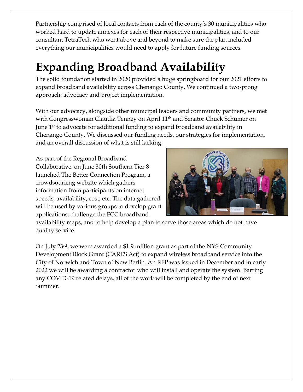Partnership comprised of local contacts from each of the county's 30 municipalities who worked hard to update annexes for each of their respective municipalities, and to our consultant TetraTech who went above and beyond to make sure the plan included everything our municipalities would need to apply for future funding sources.

# **Expanding Broadband Availability**

The solid foundation started in 2020 provided a huge springboard for our 2021 efforts to expand broadband availability across Chenango County. We continued a two-prong approach: advocacy and project implementation.

With our advocacy, alongside other municipal leaders and community partners, we met with Congresswoman Claudia Tenney on April 11<sup>th</sup> and Senator Chuck Schumer on June 1<sup>st</sup> to advocate for additional funding to expand broadband availability in Chenango County. We discussed our funding needs, our strategies for implementation, and an overall discussion of what is still lacking.

As part of the Regional Broadband Collaborative, on June 30th Southern Tier 8 launched The Better Connection Program, a crowdsouricng website which gathers information from participants on internet speeds, availability, cost, etc. The data gathered will be used by various groups to develop grant applications, challenge the FCC broadband



availability maps, and to help develop a plan to serve those areas which do not have quality service.

On July 23rd, we were awarded a \$1.9 million grant as part of the NYS Community Development Block Grant (CARES Act) to expand wireless broadband service into the City of Norwich and Town of New Berlin. An RFP was issued in December and in early 2022 we will be awarding a contractor who will install and operate the system. Barring any COVID-19 related delays, all of the work will be completed by the end of next Summer.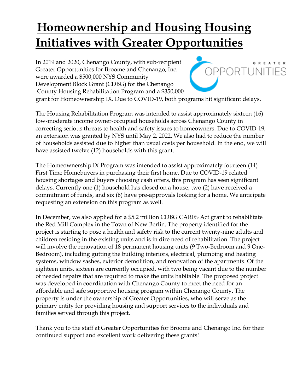# **Homeownership and Housing Housing Initiatives with Greater Opportunities**

In 2019 and 2020, Chenango County, with sub-recipient Greater Opportunities for Broome and Chenango, Inc. were awarded a \$500,000 NYS Community Development Block Grant (CDBG) for the Chenango County Housing Rehabilitation Program and a \$350,000



grant for Homeownership IX. Due to COVID-19, both programs hit significant delays.

The Housing Rehabilitation Program was intended to assist approximately sixteen (16) low-moderate income owner-occupied households across Chenango County in correcting serious threats to health and safety issues to homeowners. Due to COVID-19, an extension was granted by NYS until May 2, 2022. We also had to reduce the number of households assisted due to higher than usual costs per household. In the end, we will have assisted twelve (12) households with this grant.

The Homeownership IX Program was intended to assist approximately fourteen (14) First Time Homebuyers in purchasing their first home. Due to COVID-19 related housing shortages and buyers choosing cash offers, this program has seen significant delays. Currently one (1) household has closed on a house, two (2) have received a commitment of funds, and six (6) have pre-approvals looking for a home. We anticipate requesting an extension on this program as well.

In December, we also applied for a \$5.2 million CDBG CARES Act grant to rehabilitate the Red Mill Complex in the Town of New Berlin. The property identified for the project is starting to pose a health and safety risk to the current twenty-nine adults and children residing in the existing units and is in dire need of rehabilitation. The project will involve the renovation of 18 permanent housing units (9 Two-Bedroom and 9 One-Bedroom), including gutting the building interiors, electrical, plumbing and heating systems, window sashes, exterior demolition, and renovation of the apartments. Of the eighteen units, sixteen are currently occupied, with two being vacant due to the number of needed repairs that are required to make the units habitable. The proposed project was developed in coordination with Chenango County to meet the need for an affordable and safe supportive housing program within Chenango County. The property is under the ownership of Greater Opportunities, who will serve as the primary entity for providing housing and support services to the individuals and families served through this project.

Thank you to the staff at Greater Opportunities for Broome and Chenango Inc. for their continued support and excellent work delivering these grants!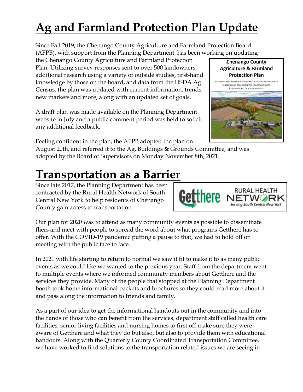# **Ag and Farmland Protection Plan Update**

Since Fall 2019, the Chenango County Agriculture and Farmland Protection Board (AFPB), with support from the Planning Department, has been working on updating

the Chenango County Agriculture and Farmland Protection Plan. Utilizing survey responses sent to over 500 landowners, additional research using a variety of outside studies, first-hand knowledge by those on the board, and data from the USDA Ag Census, the plan was updated with current information, trends, new markets and more, along with an updated set of goals.

A draft plan was made available on the Planning Department website in July and a public comment period was held to solicit any additional feedback.

Feeling confident in the plan, the AFPB adopted the plan on August 20th, and referred it to the Ag, Buildings & Grounds Committee, and was adopted by the Board of Supervisors on Monday November 8th, 2021.

# **Transportation as a Barrier**

Since late 2017, the Planning Department has been contracted by the Rural Health Network of South Central New York to help residents of Chenango County gain access to transportation.

Our plan for 2020 was to attend as many community events as possible to disseminate fliers and meet with people to spread the word about what programs Getthere has to offer. With the COVID-19 pandemic putting a pause to that, we had to hold off on meeting with the public face to face.

In 2021 with life starting to return to normal we saw it fit to make it to as many public events as we could like we wanted to the previous year. Staff from the department went to multiple events where we informed community members about Getthere and the services they provide. Many of the people that stopped at the Planning Department booth took home informational packets and brochures so they could read more about it and pass along the information to friends and family.

As a part of our idea to get the informational handouts out in the community and into the hands of those who can benefit from the services, department staff called health care facilities, senior living facilities and nursing homes to first off make sure they were aware of Getthere and what they do but also, but also to provide them with educational handouts. Along with the Quarterly County Coordinated Transportation Committee, we have worked to find solutions to the transportation related issues we are seeing in



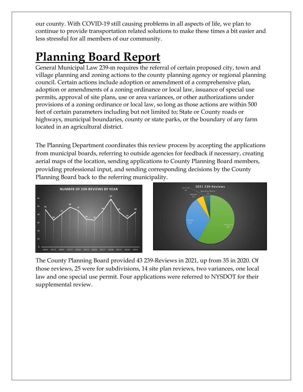our county. With COVID-19 still causing problems in all aspects of life, we plan to continue to provide transportation related solutions to make these times a bit easier and less stressful for all members of our community.

# **Planning Board Report**

General Municipal Law 239-m requires the referral of certain proposed city, town and village planning and zoning actions to the county planning agency or regional planning council. Certain actions include adoption or amendment of a comprehensive plan, adoption or amendments of a zoning ordinance or local law, issuance of special use permits, approval of site plans, use or area variances, or other authorizations under provisions of a zoning ordinance or local law, so long as those actions are within 500 feet of certain parameters including but not limited to; State or County roads or highways, municipal boundaries, county or state parks, or the boundary of any farm located in an agricultural district.

The Planning Department coordinates this review process by accepting the applications from municipal boards, referring to outside agencies for feedback if necessary, creating aerial maps of the location, sending applications to County Planning Board members, providing professional input, and sending corresponding decisions by the County Planning Board back to the referring municipality.





The County Planning Board provided 43 239-Reviews in 2021, up from 35 in 2020. Of those reviews, 25 were for subdivisions, 14 site plan reviews, two variances, one local law and one special use permit. Four applications were referred to NYSDOT for their supplemental review.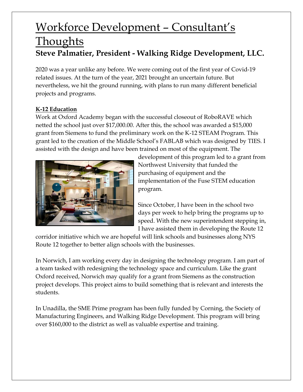### Workforce Development – Consultant's **Thoughts Steve Palmatier, President - Walking Ridge Development, LLC.**

2020 was a year unlike any before. We were coming out of the first year of Covid-19 related issues. At the turn of the year, 2021 brought an uncertain future. But nevertheless, we hit the ground running, with plans to run many different beneficial projects and programs.

### **K-12 Education**

Work at Oxford Academy began with the successful closeout of RoboRAVE which netted the school just over \$17,000.00. After this, the school was awarded a \$15,000 grant from Siemens to fund the preliminary work on the K-12 STEAM Program. This grant led to the creation of the Middle School's FABLAB which was designed by TIES. I assisted with the design and have been trained on most of the equipment. The



development of this program led to a grant from Northwest University that funded the purchasing of equipment and the implementation of the Fuse STEM education program.

Since October, I have been in the school two days per week to help bring the programs up to speed. With the new superintendent stepping in, I have assisted them in developing the Route 12

corridor initiative which we are hopeful will link schools and businesses along NYS Route 12 together to better align schools with the businesses.

In Norwich, I am working every day in designing the technology program. I am part of a team tasked with redesigning the technology space and curriculum. Like the grant Oxford received, Norwich may qualify for a grant from Siemens as the construction project develops. This project aims to build something that is relevant and interests the students.

In Unadilla, the SME Prime program has been fully funded by Corning, the Society of Manufacturing Engineers, and Walking Ridge Development. This program will bring over \$160,000 to the district as well as valuable expertise and training.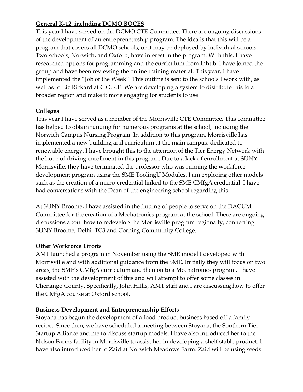### **General K-12, including DCMO BOCES**

This year I have served on the DCMO CTE Committee. There are ongoing discussions of the development of an entrepreneurship program. The idea is that this will be a program that covers all DCMO schools, or it may be deployed by individual schools. Two schools, Norwich, and Oxford, have interest in the program. With this, I have researched options for programming and the curriculum from Inhub. I have joined the group and have been reviewing the online training material. This year, I have implemented the "Job of the Week". This outline is sent to the schools I work with, as well as to Liz Rickard at C.O.R.E. We are developing a system to distribute this to a broader region and make it more engaging for students to use.

### **Colleges**

This year I have served as a member of the Morrisville CTE Committee. This committee has helped to obtain funding for numerous programs at the school, including the Norwich Campus Nursing Program. In addition to this program, Morrisville has implemented a new building and curriculum at the main campus, dedicated to renewable energy. I have brought this to the attention of the Tier Energy Network with the hope of driving enrollment in this program. Due to a lack of enrollment at SUNY Morrisville, they have terminated the professor who was running the workforce development program using the SME ToolingU Modules. I am exploring other models such as the creation of a micro-credential linked to the SME CMfgA credential. I have had conversations with the Dean of the engineering school regarding this.

At SUNY Broome, I have assisted in the finding of people to serve on the DACUM Committee for the creation of a Mechatronics program at the school. There are ongoing discussions about how to redevelop the Morrisville program regionally, connecting SUNY Broome, Delhi, TC3 and Corning Community College.

### **Other Workforce Efforts**

AMT launched a program in November using the SME model I developed with Morrisville and with additional guidance from the SME. Initially they will focus on two areas, the SME's CMfgA curriculum and then on to a Mechatronics program. I have assisted with the development of this and will attempt to offer some classes in Chenango County. Specifically, John Hillis, AMT staff and I are discussing how to offer the CMfgA course at Oxford school.

### **Business Development and Entrepreneurship Efforts**

Stoyana has begun the development of a food product business based off a family recipe. Since then, we have scheduled a meeting between Stoyana, the Southern Tier Startup Alliance and me to discuss startup models. I have also introduced her to the Nelson Farms facility in Morrisville to assist her in developing a shelf stable product. I have also introduced her to Zaid at Norwich Meadows Farm. Zaid will be using seeds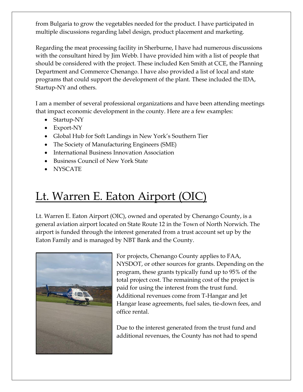from Bulgaria to grow the vegetables needed for the product. I have participated in multiple discussions regarding label design, product placement and marketing.

Regarding the meat processing facility in Sherburne, I have had numerous discussions with the consultant hired by Jim Webb. I have provided him with a list of people that should be considered with the project. These included Ken Smith at CCE, the Planning Department and Commerce Chenango. I have also provided a list of local and state programs that could support the development of the plant. These included the IDA, Startup-NY and others.

I am a member of several professional organizations and have been attending meetings that impact economic development in the county. Here are a few examples:

- Startup-NY
- Export-NY
- Global Hub for Soft Landings in New York's Southern Tier
- The Society of Manufacturing Engineers (SME)
- International Business Innovation Association
- Business Council of New York State
- NYSCATE

## Lt. Warren E. Eaton Airport (OIC)

Lt. Warren E. Eaton Airport (OIC), owned and operated by Chenango County, is a general aviation airport located on State Route 12 in the Town of North Norwich. The airport is funded through the interest generated from a trust account set up by the Eaton Family and is managed by NBT Bank and the County.



For projects, Chenango County applies to FAA, NYSDOT, or other sources for grants. Depending on the program, these grants typically fund up to 95% of the total project cost. The remaining cost of the project is paid for using the interest from the trust fund. Additional revenues come from T-Hangar and Jet Hangar lease agreements, fuel sales, tie-down fees, and office rental.

Due to the interest generated from the trust fund and additional revenues, the County has not had to spend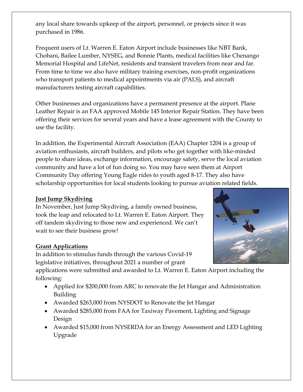any local share towards upkeep of the airport, personnel, or projects since it was purchased in 1986.

Frequent users of Lt. Warren E. Eaton Airport include businesses like NBT Bank, Chobani, Bailee Lumber, NYSEG, and Bonnie Plants, medical facilities like Chenango Memorial Hospital and LifeNet, residents and transient travelers from near and far. From time to time we also have military training exercises, non-profit organizations who transport patients to medical appointments via air (PALS), and aircraft manufacturers testing aircraft capabilities.

Other businesses and organizations have a permanent presence at the airport. Plane Leather Repair is an FAA approved Mobile 145 Interior Repair Station. They have been offering their services for several years and have a lease agreement with the County to use the facility.

In addition, the Experimental Aircraft Association (EAA) Chapter 1204 is a group of aviation enthusiasts, aircraft builders, and pilots who get together with like-minded people to share ideas, exchange information, encourage safety, serve the local aviation community and have a lot of fun doing so. You may have seen them at Airport Community Day offering Young Eagle rides to youth aged 8-17. They also have scholarship opportunities for local students looking to pursue aviation related fields.

### **Just Jump Skydiving**

In November, Just Jump Skydiving, a family owned business, took the leap and relocated to Lt. Warren E. Eaton Airport. They off tandem skydiving to those new and experienced. We can't wait to see their business grow!

### **Grant Applications**

In addition to stimulus funds through the various Covid-19 legislative initiatives, throughout 2021 a number of grant

applications were submitted and awarded to Lt. Warren E. Eaton Airport including the following:

- Applied for \$200,000 from ARC to renovate the Jet Hangar and Administration Building
- Awarded \$263,000 from NYSDOT to Renovate the Jet Hangar
- Awarded \$285,000 from FAA for Taxiway Pavement, Lighting and Signage Design
- Awarded \$15,000 from NYSERDA for an Energy Assessment and LED Lighting Upgrade